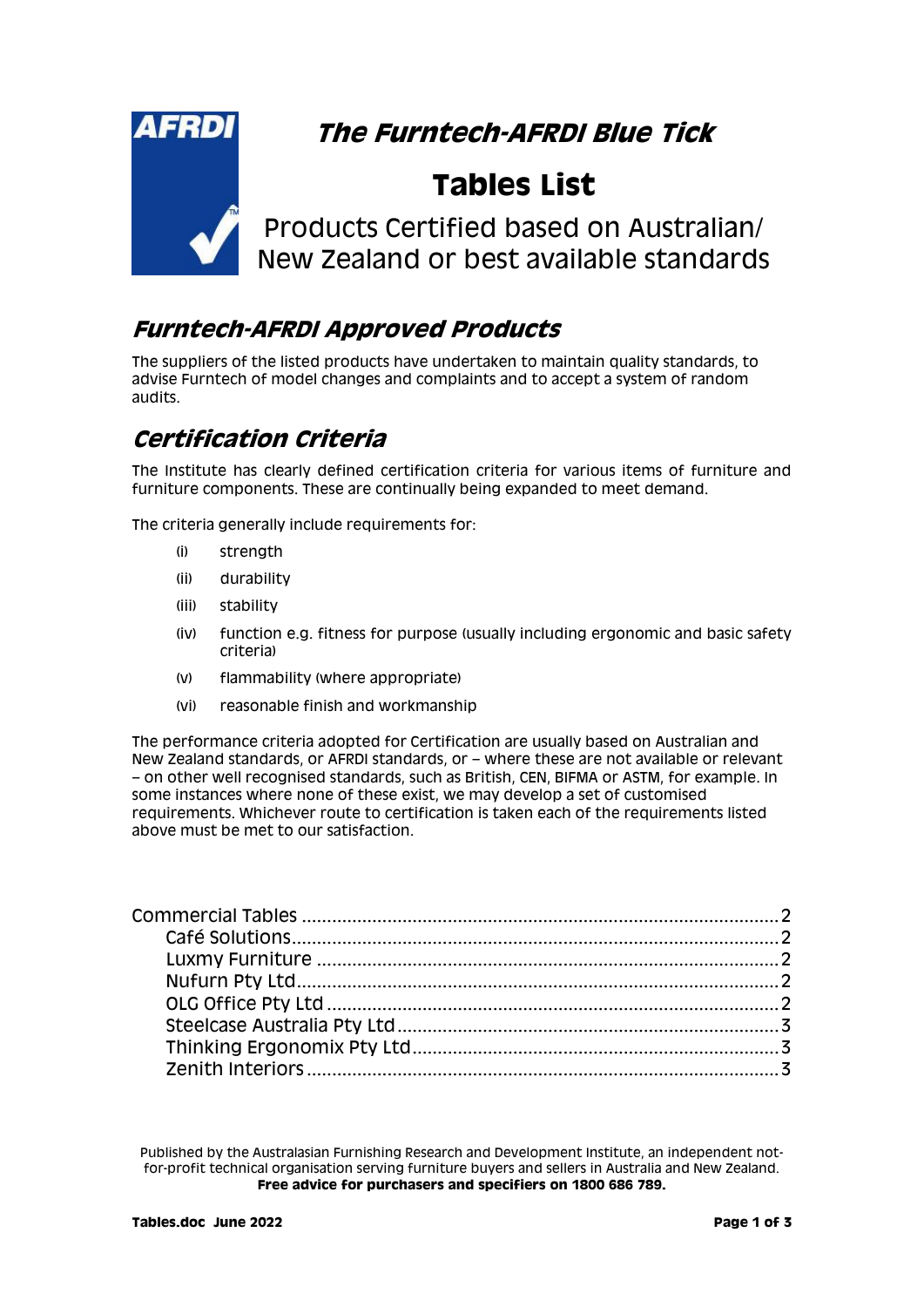

# **The Furntech-AFRDI Blue Tick**

# **Tables List**

Products Certified based on Australian/ New Zealand or best available standards

### **Furntech-AFRDI Approved Products**

The suppliers of the listed products have undertaken to maintain quality standards, to advise Furntech of model changes and complaints and to accept a system of random audits.

## **Certification Criteria**

The Institute has clearly defined certification criteria for various items of furniture and furniture components. These are continually being expanded to meet demand.

The criteria generally include requirements for:

- (i) strength
- (ii) durability
- (iii) stability
- (iv) function e.g. fitness for purpose (usually including ergonomic and basic safety criteria)
- (v) flammability (where appropriate)
- (vi) reasonable finish and workmanship

The performance criteria adopted for Certification are usually based on Australian and New Zealand standards, or AFRDI standards, or – where these are not available or relevant – on other well recognised standards, such as British, CEN, BIFMA or ASTM, for example. In some instances where none of these exist, we may develop a set of customised requirements. Whichever route to certification is taken each of the requirements listed above must be met to our satisfaction.

Published by the Australasian Furnishing Research and Development Institute, an independent notfor-profit technical organisation serving furniture buyers and sellers in Australia and New Zealand. **Free advice for purchasers and specifiers on 1800 686 789.**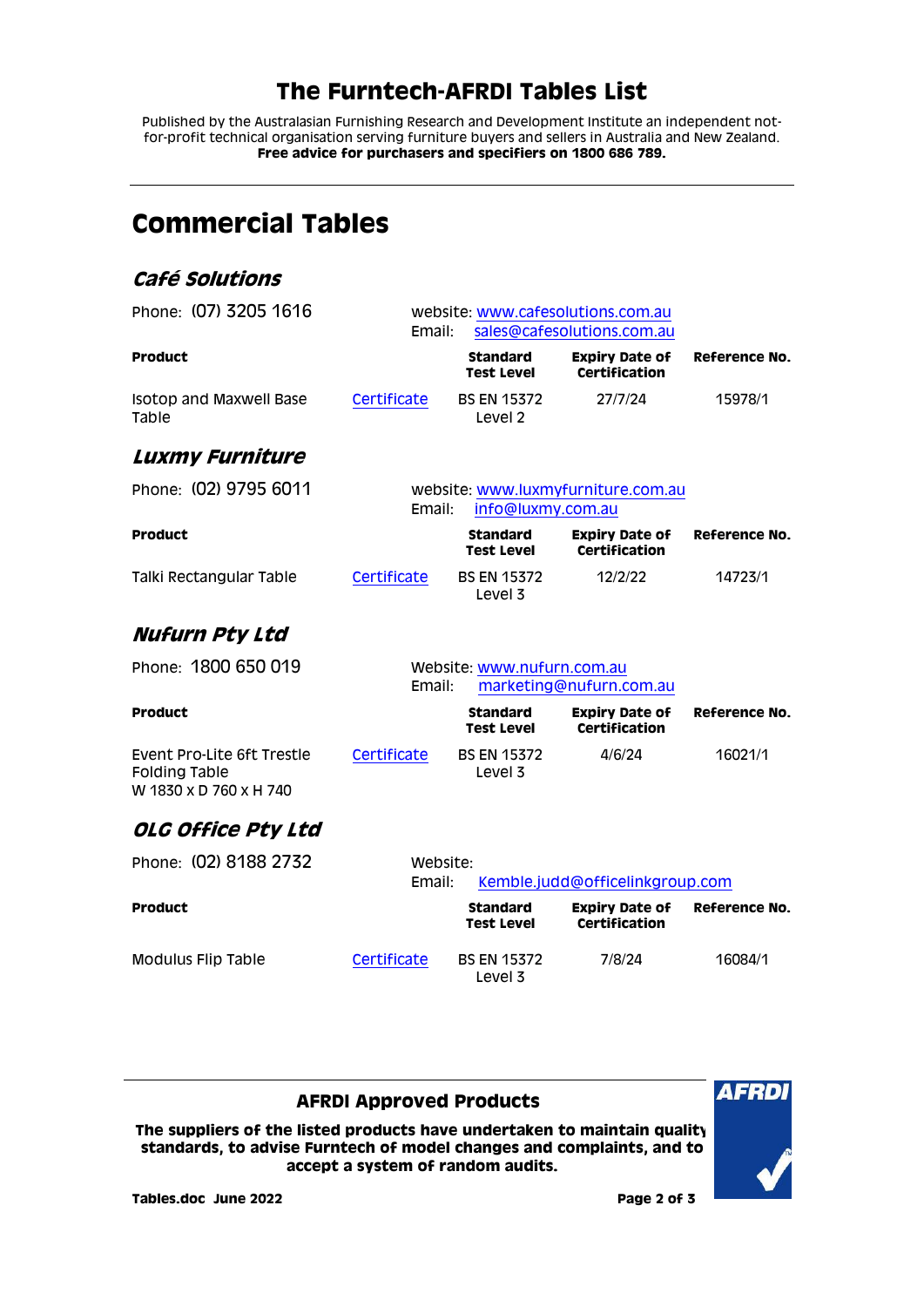### **The Furntech-AFRDI Tables List**

Published by the Australasian Furnishing Research and Development Institute an independent notfor-profit technical organisation serving furniture buyers and sellers in Australia and New Zealand. **Free advice for purchasers and specifiers on 1800 686 789.**

<span id="page-1-3"></span><span id="page-1-2"></span><span id="page-1-1"></span><span id="page-1-0"></span>

| <b>Commercial Tables</b>                                                     |                                                                           |        |                                          |                                               |               |
|------------------------------------------------------------------------------|---------------------------------------------------------------------------|--------|------------------------------------------|-----------------------------------------------|---------------|
| Café Solutions                                                               |                                                                           |        |                                          |                                               |               |
| Phone: (07) 3205 1616                                                        | website: www.cafesolutions.com.au<br>sales@cafesolutions.com.au<br>Email: |        |                                          |                                               |               |
| <b>Product</b>                                                               |                                                                           |        | <b>Standard</b><br><b>Test Level</b>     | <b>Expiry Date of</b><br><b>Certification</b> | Reference No. |
| Isotop and Maxwell Base<br>Table                                             | Certificate                                                               |        | <b>BS EN 15372</b><br>Level <sub>2</sub> | 27/7/24                                       | 15978/1       |
| <b>Luxmy Furniture</b>                                                       |                                                                           |        |                                          |                                               |               |
| Phone: (02) 9795 6011                                                        | website: www.luxmyfurniture.com.au<br>Email:<br>info@luxmy.com.au         |        |                                          |                                               |               |
| <b>Product</b>                                                               |                                                                           |        | <b>Standard</b><br><b>Test Level</b>     | <b>Expiry Date of</b><br><b>Certification</b> | Reference No. |
| Talki Rectangular Table                                                      | Certificate                                                               |        | <b>BS EN 15372</b><br>Level 3            | 12/2/22                                       | 14723/1       |
| <b>Nufurn Pty Ltd</b>                                                        |                                                                           |        |                                          |                                               |               |
| Phone: 1800 650 019                                                          |                                                                           | Email: | Website: www.nufurn.com.au               | marketing@nufurn.com.au                       |               |
| <b>Product</b>                                                               |                                                                           |        | <b>Standard</b><br>Test Level            | <b>Expiry Date of</b><br>Certification        | Reference No. |
| Event Pro-Lite 6ft Trestle<br><b>Folding Table</b><br>W 1830 x D 760 x H 740 | Certificate                                                               |        | <b>BS EN 15372</b><br>Level 3            | 4/6/24                                        | 16021/1       |
| OLG Office Pty Ltd                                                           |                                                                           |        |                                          |                                               |               |
| Phone: (02) 8188 2732                                                        | Website:<br>Email:<br>Kemble.judd@officelinkgroup.com                     |        |                                          |                                               |               |
| <b>Product</b>                                                               |                                                                           |        | <b>Standard</b><br>Test Level            | <b>Expiry Date of</b><br>Certification        | Reference No. |
| <b>Modulus Flip Table</b>                                                    | Certificate                                                               |        | <b>BS EN 15372</b><br>Level 3            | 7/8/24                                        | 16084/1       |

#### **AFRDI Approved Products**

<span id="page-1-4"></span>**The suppliers of the listed products have undertaken to maintain quality standards, to advise Furntech of model changes and complaints, and to accept a system of random audits.**